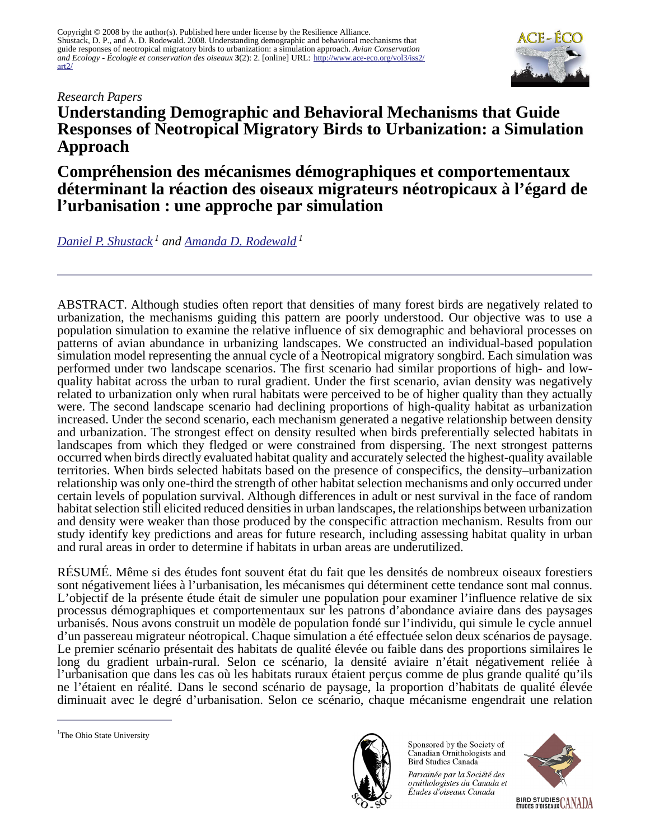

### *Research Papers*

**Understanding Demographic and Behavioral Mechanisms that Guide Responses of Neotropical Migratory Birds to Urbanization: a Simulation Approach**

**Compréhension des mécanismes démographiques et comportementaux déterminant la réaction des oiseaux migrateurs néotropicaux à l'égard de l'urbanisation : une approche par simulation**

*[Daniel P. Shustack](mailto:shustack.1@osu.edu)<sup>1</sup> and [Amanda D. Rodewald](mailto:rodewald.1@osu.edu)<sup>1</sup>*

ABSTRACT. Although studies often report that densities of many forest birds are negatively related to urbanization, the mechanisms guiding this pattern are poorly understood. Our objective was to use a population simulation to examine the relative influence of six demographic and behavioral processes on patterns of avian abundance in urbanizing landscapes. We constructed an individual-based population simulation model representing the annual cycle of a Neotropical migratory songbird. Each simulation was performed under two landscape scenarios. The first scenario had similar proportions of high- and lowquality habitat across the urban to rural gradient. Under the first scenario, avian density was negatively related to urbanization only when rural habitats were perceived to be of higher quality than they actually were. The second landscape scenario had declining proportions of high-quality habitat as urbanization increased. Under the second scenario, each mechanism generated a negative relationship between density and urbanization. The strongest effect on density resulted when birds preferentially selected habitats in landscapes from which they fledged or were constrained from dispersing. The next strongest patterns occurred when birds directly evaluated habitat quality and accurately selected the highest-quality available territories. When birds selected habitats based on the presence of conspecifics, the density–urbanization relationship was only one-third the strength of other habitat selection mechanisms and only occurred under certain levels of population survival. Although differences in adult or nest survival in the face of random habitat selection still elicited reduced densities in urban landscapes, the relationships between urbanization and density were weaker than those produced by the conspecific attraction mechanism. Results from our study identify key predictions and areas for future research, including assessing habitat quality in urban and rural areas in order to determine if habitats in urban areas are underutilized.

RÉSUMÉ. Même si des études font souvent état du fait que les densités de nombreux oiseaux forestiers sont négativement liées à l'urbanisation, les mécanismes qui déterminent cette tendance sont mal connus. L'objectif de la présente étude était de simuler une population pour examiner l'influence relative de six processus démographiques et comportementaux sur les patrons d'abondance aviaire dans des paysages urbanisés. Nous avons construit un modèle de population fondé sur l'individu, qui simule le cycle annuel d'un passereau migrateur néotropical. Chaque simulation a été effectuée selon deux scénarios de paysage. Le premier scénario présentait des habitats de qualité élevée ou faible dans des proportions similaires le long du gradient urbain-rural. Selon ce scénario, la densité aviaire n'était négativement reliée à l'urbanisation que dans les cas où les habitats ruraux étaient perçus comme de plus grande qualité qu'ils ne l'étaient en réalité. Dans le second scénario de paysage, la proportion d'habitats de qualité élevée diminuait avec le degré d'urbanisation. Selon ce scénario, chaque mécanisme engendrait une relation



Sponsored by the Society of Canadian Ornithologists and Bird Studies Canada

Parrainée par la Société des ornithologistes du Canada et Études d'oiseaux Canada



<sup>&</sup>lt;sup>1</sup>The Ohio State University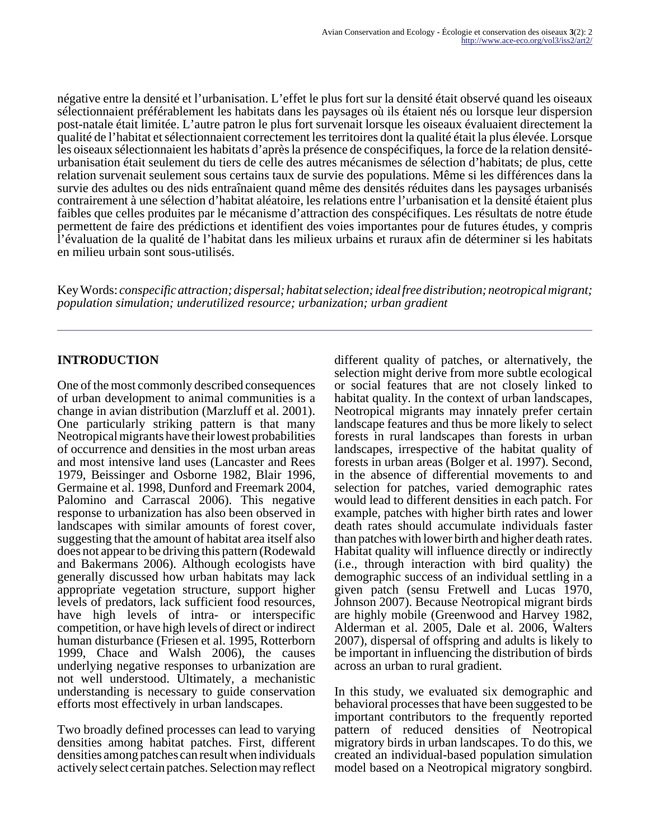négative entre la densité et l'urbanisation. L'effet le plus fort sur la densité était observé quand les oiseaux sélectionnaient préférablement les habitats dans les paysages où ils étaient nés ou lorsque leur dispersion post-natale était limitée. L'autre patron le plus fort survenait lorsque les oiseaux évaluaient directement la qualité de l'habitat et sélectionnaient correctement les territoires dont la qualité était la plus élevée. Lorsque les oiseaux sélectionnaient les habitats d'après la présence de conspécifiques, la force de la relation densitéurbanisation était seulement du tiers de celle des autres mécanismes de sélection d'habitats; de plus, cette relation survenait seulement sous certains taux de survie des populations. Même si les différences dans la survie des adultes ou des nids entraînaient quand même des densités réduites dans les paysages urbanisés contrairement à une sélection d'habitat aléatoire, les relations entre l'urbanisation et la densité étaient plus faibles que celles produites par le mécanisme d'attraction des conspécifiques. Les résultats de notre étude permettent de faire des prédictions et identifient des voies importantes pour de futures études, y compris l'évaluation de la qualité de l'habitat dans les milieux urbains et ruraux afin de déterminer si les habitats en milieu urbain sont sous-utilisés.

Key Words: *conspecific attraction; dispersal; habitat selection; ideal free distribution; neotropical migrant; population simulation; underutilized resource; urbanization; urban gradient*

# **INTRODUCTION**

One of the most commonly described consequences of urban development to animal communities is a change in avian distribution (Marzluff et al. 2001). One particularly striking pattern is that many Neotropical migrants have their lowest probabilities of occurrence and densities in the most urban areas and most intensive land uses (Lancaster and Rees 1979, Beissinger and Osborne 1982, Blair 1996, Germaine et al. 1998, Dunford and Freemark 2004, Palomino and Carrascal 2006). This negative response to urbanization has also been observed in landscapes with similar amounts of forest cover, suggesting that the amount of habitat area itself also does not appear to be driving this pattern (Rodewald and Bakermans 2006). Although ecologists have generally discussed how urban habitats may lack appropriate vegetation structure, support higher levels of predators, lack sufficient food resources, have high levels of intra- or interspecific competition, or have high levels of direct or indirect human disturbance (Friesen et al. 1995, Rotterborn 1999, Chace and Walsh 2006), the causes underlying negative responses to urbanization are not well understood. Ultimately, a mechanistic understanding is necessary to guide conservation efforts most effectively in urban landscapes.

Two broadly defined processes can lead to varying densities among habitat patches. First, different densities among patches can result when individuals actively select certain patches. Selection may reflect different quality of patches, or alternatively, the selection might derive from more subtle ecological or social features that are not closely linked to habitat quality. In the context of urban landscapes, Neotropical migrants may innately prefer certain landscape features and thus be more likely to select forests in rural landscapes than forests in urban landscapes, irrespective of the habitat quality of forests in urban areas (Bolger et al. 1997). Second, in the absence of differential movements to and selection for patches, varied demographic rates would lead to different densities in each patch. For example, patches with higher birth rates and lower death rates should accumulate individuals faster than patches with lower birth and higher death rates. Habitat quality will influence directly or indirectly (i.e., through interaction with bird quality) the demographic success of an individual settling in a given patch (sensu Fretwell and Lucas 1970, Johnson 2007). Because Neotropical migrant birds are highly mobile (Greenwood and Harvey 1982, Alderman et al. 2005, Dale et al. 2006, Walters 2007), dispersal of offspring and adults is likely to be important in influencing the distribution of birds across an urban to rural gradient.

In this study, we evaluated six demographic and behavioral processes that have been suggested to be important contributors to the frequently reported pattern of reduced densities of Neotropical migratory birds in urban landscapes. To do this, we created an individual-based population simulation model based on a Neotropical migratory songbird.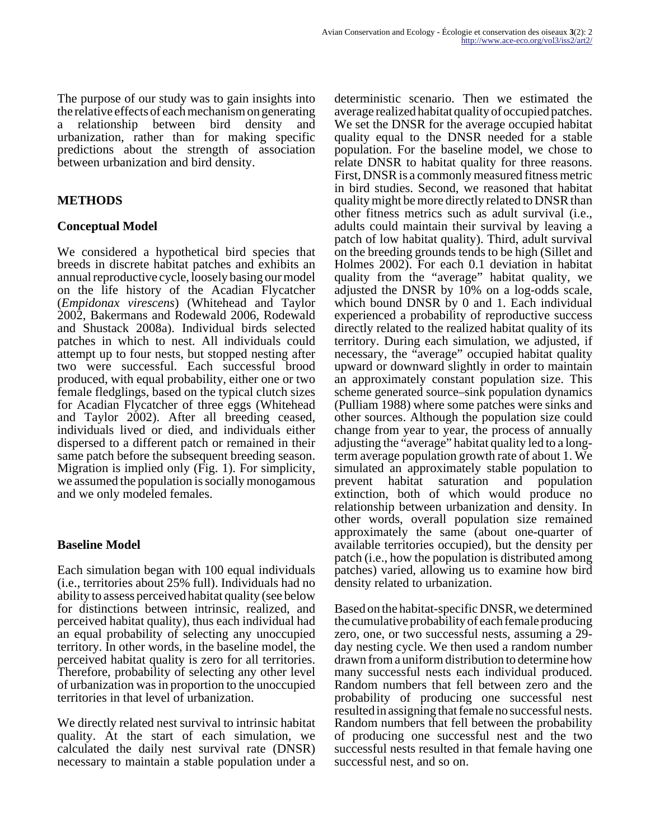The purpose of our study was to gain insights into the relative effects of each mechanism on generating a relationship between bird density and urbanization, rather than for making specific predictions about the strength of association between urbanization and bird density.

## **METHODS**

## **Conceptual Model**

We considered a hypothetical bird species that breeds in discrete habitat patches and exhibits an annual reproductive cycle, loosely basing our model on the life history of the Acadian Flycatcher (*Empidonax virescens*) (Whitehead and Taylor 2002, Bakermans and Rodewald 2006, Rodewald and Shustack 2008a). Individual birds selected patches in which to nest. All individuals could attempt up to four nests, but stopped nesting after two were successful. Each successful brood produced, with equal probability, either one or two female fledglings, based on the typical clutch sizes for Acadian Flycatcher of three eggs (Whitehead and Taylor 2002). After all breeding ceased, individuals lived or died, and individuals either dispersed to a different patch or remained in their same patch before the subsequent breeding season. Migration is implied only (Fig. 1). For simplicity, we assumed the population is socially monogamous and we only modeled females.

# **Baseline Model**

Each simulation began with 100 equal individuals (i.e., territories about 25% full). Individuals had no ability to assess perceived habitat quality (see below for distinctions between intrinsic, realized, and perceived habitat quality), thus each individual had an equal probability of selecting any unoccupied territory. In other words, in the baseline model, the perceived habitat quality is zero for all territories. Therefore, probability of selecting any other level of urbanization was in proportion to the unoccupied territories in that level of urbanization.

We directly related nest survival to intrinsic habitat quality. At the start of each simulation, we calculated the daily nest survival rate (DNSR) necessary to maintain a stable population under a

deterministic scenario. Then we estimated the average realized habitat quality of occupied patches. We set the DNSR for the average occupied habitat quality equal to the DNSR needed for a stable population. For the baseline model, we chose to relate DNSR to habitat quality for three reasons. First, DNSR is a commonly measured fitness metric in bird studies. Second, we reasoned that habitat quality might be more directly related to DNSR than other fitness metrics such as adult survival (i.e., adults could maintain their survival by leaving a patch of low habitat quality). Third, adult survival on the breeding grounds tends to be high (Sillet and Holmes 2002). For each 0.1 deviation in habitat quality from the "average" habitat quality, we adjusted the DNSR by 10% on a log-odds scale, which bound DNSR by 0 and 1. Each individual experienced a probability of reproductive success directly related to the realized habitat quality of its territory. During each simulation, we adjusted, if necessary, the "average" occupied habitat quality upward or downward slightly in order to maintain an approximately constant population size. This scheme generated source–sink population dynamics (Pulliam 1988) where some patches were sinks and other sources. Although the population size could change from year to year, the process of annually adjusting the "average" habitat quality led to a longterm average population growth rate of about 1. We simulated an approximately stable population to prevent habitat saturation and population extinction, both of which would produce no relationship between urbanization and density. In other words, overall population size remained approximately the same (about one-quarter of available territories occupied), but the density per patch (i.e., how the population is distributed among patches) varied, allowing us to examine how bird density related to urbanization.

Based on the habitat-specific DNSR, we determined the cumulative probability of each female producing zero, one, or two successful nests, assuming a 29 day nesting cycle. We then used a random number drawn from a uniform distribution to determine how many successful nests each individual produced. Random numbers that fell between zero and the probability of producing one successful nest resulted in assigning that female no successful nests. Random numbers that fell between the probability of producing one successful nest and the two successful nests resulted in that female having one successful nest, and so on.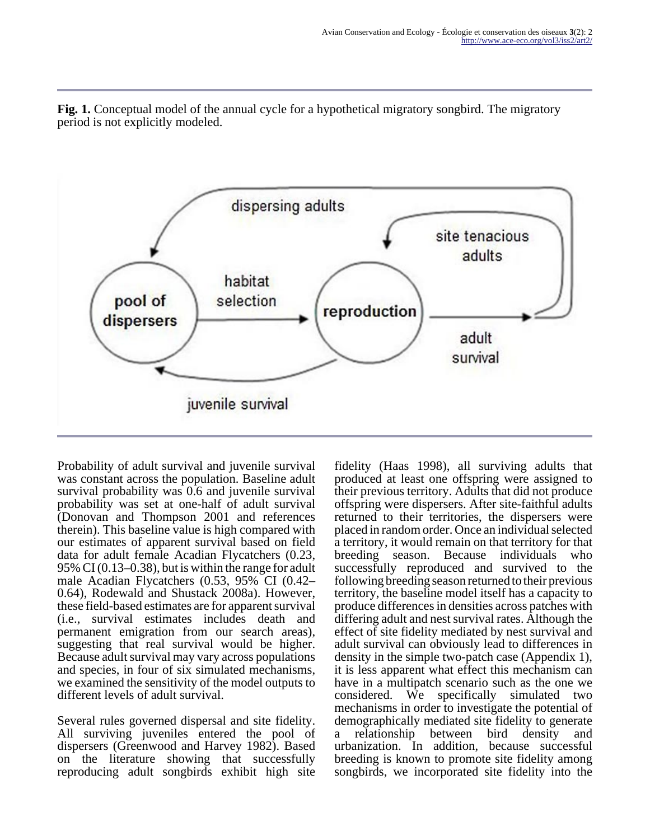



Probability of adult survival and juvenile survival was constant across the population. Baseline adult survival probability was 0.6 and juvenile survival probability was set at one-half of adult survival (Donovan and Thompson 2001 and references therein). This baseline value is high compared with our estimates of apparent survival based on field data for adult female Acadian Flycatchers (0.23, 95% CI (0.13–0.38), but is within the range for adult male Acadian Flycatchers (0.53, 95% CI (0.42– 0.64), Rodewald and Shustack 2008a). However, these field-based estimates are for apparent survival (i.e., survival estimates includes death and permanent emigration from our search areas), suggesting that real survival would be higher. Because adult survival may vary across populations and species, in four of six simulated mechanisms, we examined the sensitivity of the model outputs to different levels of adult survival.

Several rules governed dispersal and site fidelity. All surviving juveniles entered the pool of dispersers (Greenwood and Harvey 1982). Based on the literature showing that successfully reproducing adult songbirds exhibit high site fidelity (Haas 1998), all surviving adults that produced at least one offspring were assigned to their previous territory. Adults that did not produce offspring were dispersers. After site-faithful adults returned to their territories, the dispersers were placed in random order. Once an individual selected a territory, it would remain on that territory for that breeding season. Because individuals who successfully reproduced and survived to the following breeding season returned to their previous territory, the baseline model itself has a capacity to produce differences in densities across patches with differing adult and nest survival rates. Although the effect of site fidelity mediated by nest survival and adult survival can obviously lead to differences in density in the simple two-patch case (Appendix 1), it is less apparent what effect this mechanism can have in a multipatch scenario such as the one we considered. We specifically simulated two mechanisms in order to investigate the potential of demographically mediated site fidelity to generate a relationship between bird density and urbanization. In addition, because successful breeding is known to promote site fidelity among songbirds, we incorporated site fidelity into the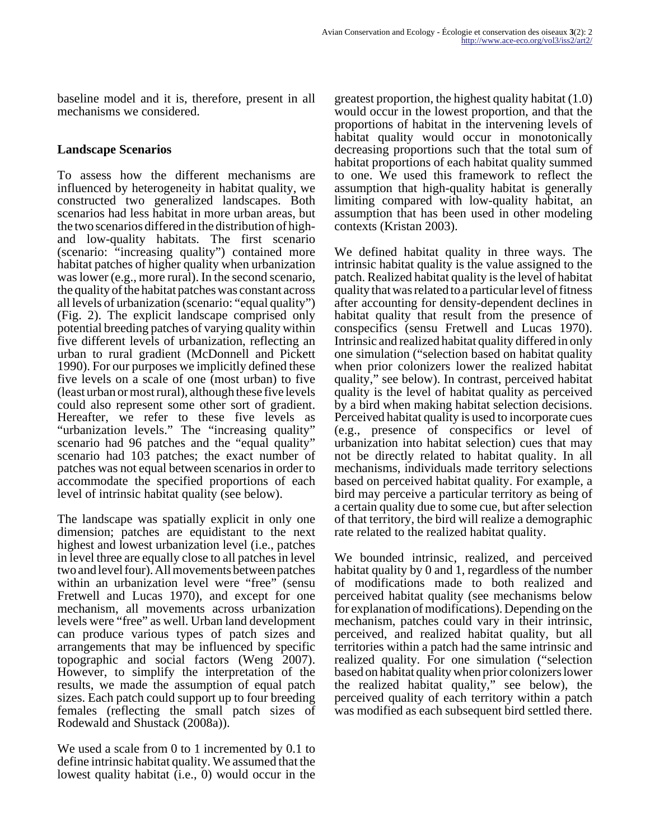baseline model and it is, therefore, present in all mechanisms we considered.

### **Landscape Scenarios**

To assess how the different mechanisms are influenced by heterogeneity in habitat quality, we constructed two generalized landscapes. Both scenarios had less habitat in more urban areas, but the two scenarios differed in the distribution of highand low-quality habitats. The first scenario (scenario: "increasing quality") contained more habitat patches of higher quality when urbanization was lower (e.g., more rural). In the second scenario, the quality of the habitat patches was constant across all levels of urbanization (scenario: "equal quality") (Fig. 2). The explicit landscape comprised only potential breeding patches of varying quality within five different levels of urbanization, reflecting an urban to rural gradient (McDonnell and Pickett 1990). For our purposes we implicitly defined these five levels on a scale of one (most urban) to five (least urban or most rural), although these five levels could also represent some other sort of gradient. Hereafter, we refer to these five levels as "urbanization levels." The "increasing quality" scenario had 96 patches and the "equal quality" scenario had 103 patches; the exact number of patches was not equal between scenarios in order to accommodate the specified proportions of each level of intrinsic habitat quality (see below).

The landscape was spatially explicit in only one dimension; patches are equidistant to the next highest and lowest urbanization level (i.e., patches in level three are equally close to all patches in level two and level four). All movements between patches within an urbanization level were "free" (sensu Fretwell and Lucas 1970), and except for one mechanism, all movements across urbanization levels were "free" as well. Urban land development can produce various types of patch sizes and arrangements that may be influenced by specific topographic and social factors (Weng 2007). However, to simplify the interpretation of the results, we made the assumption of equal patch sizes. Each patch could support up to four breeding females (reflecting the small patch sizes of Rodewald and Shustack (2008a)).

We used a scale from 0 to 1 incremented by 0.1 to define intrinsic habitat quality. We assumed that the lowest quality habitat (i.e., 0) would occur in the

greatest proportion, the highest quality habitat (1.0) would occur in the lowest proportion, and that the proportions of habitat in the intervening levels of habitat quality would occur in monotonically decreasing proportions such that the total sum of habitat proportions of each habitat quality summed to one. We used this framework to reflect the assumption that high-quality habitat is generally limiting compared with low-quality habitat, an assumption that has been used in other modeling contexts (Kristan 2003).

We defined habitat quality in three ways. The intrinsic habitat quality is the value assigned to the patch. Realized habitat quality is the level of habitat quality that was related to a particular level of fitness after accounting for density-dependent declines in habitat quality that result from the presence of conspecifics (sensu Fretwell and Lucas 1970). Intrinsic and realized habitat quality differed in only one simulation ("selection based on habitat quality when prior colonizers lower the realized habitat quality," see below). In contrast, perceived habitat quality is the level of habitat quality as perceived by a bird when making habitat selection decisions. Perceived habitat quality is used to incorporate cues (e.g., presence of conspecifics or level of urbanization into habitat selection) cues that may not be directly related to habitat quality. In all mechanisms, individuals made territory selections based on perceived habitat quality. For example, a bird may perceive a particular territory as being of a certain quality due to some cue, but after selection of that territory, the bird will realize a demographic rate related to the realized habitat quality.

We bounded intrinsic, realized, and perceived habitat quality by 0 and 1, regardless of the number of modifications made to both realized and perceived habitat quality (see mechanisms below for explanation of modifications). Depending on the mechanism, patches could vary in their intrinsic, perceived, and realized habitat quality, but all territories within a patch had the same intrinsic and realized quality. For one simulation ("selection based on habitat quality when prior colonizers lower the realized habitat quality," see below), the perceived quality of each territory within a patch was modified as each subsequent bird settled there.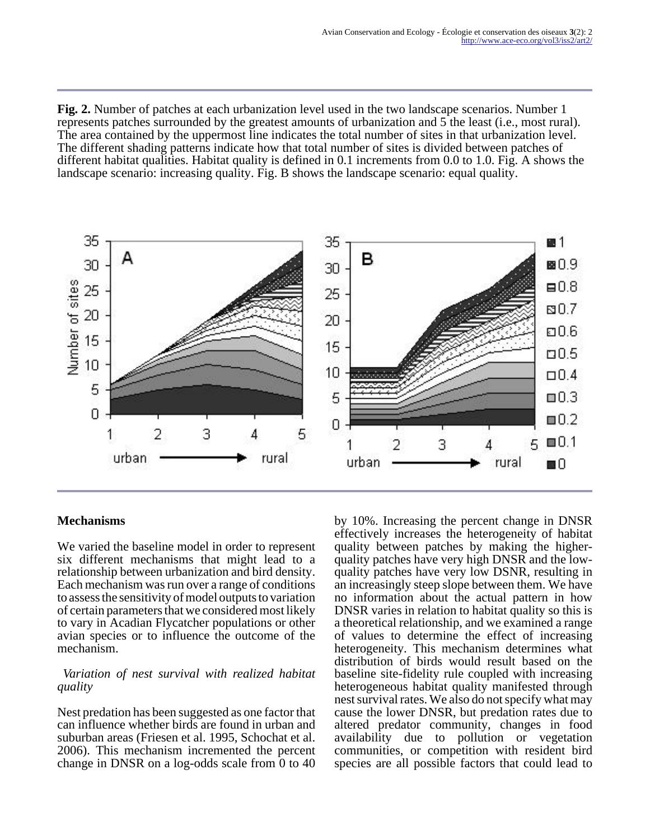**Fig. 2.** Number of patches at each urbanization level used in the two landscape scenarios. Number 1 represents patches surrounded by the greatest amounts of urbanization and 5 the least (i.e., most rural). The area contained by the uppermost line indicates the total number of sites in that urbanization level. The different shading patterns indicate how that total number of sites is divided between patches of different habitat qualities. Habitat quality is defined in 0.1 increments from 0.0 to 1.0. Fig. A shows the landscape scenario: increasing quality. Fig. B shows the landscape scenario: equal quality.



### **Mechanisms**

We varied the baseline model in order to represent six different mechanisms that might lead to a relationship between urbanization and bird density. Each mechanism was run over a range of conditions to assess the sensitivity of model outputs to variation of certain parameters that we considered most likely to vary in Acadian Flycatcher populations or other avian species or to influence the outcome of the mechanism.

#### *Variation of nest survival with realized habitat quality*

Nest predation has been suggested as one factor that can influence whether birds are found in urban and suburban areas (Friesen et al. 1995, Schochat et al. 2006). This mechanism incremented the percent change in DNSR on a log-odds scale from 0 to 40 by 10%. Increasing the percent change in DNSR effectively increases the heterogeneity of habitat quality between patches by making the higherquality patches have very high DNSR and the lowquality patches have very low DSNR, resulting in an increasingly steep slope between them. We have no information about the actual pattern in how DNSR varies in relation to habitat quality so this is a theoretical relationship, and we examined a range of values to determine the effect of increasing heterogeneity. This mechanism determines what distribution of birds would result based on the baseline site-fidelity rule coupled with increasing heterogeneous habitat quality manifested through nest survival rates. We also do not specify what may cause the lower DNSR, but predation rates due to altered predator community, changes in food availability due to pollution or vegetation communities, or competition with resident bird species are all possible factors that could lead to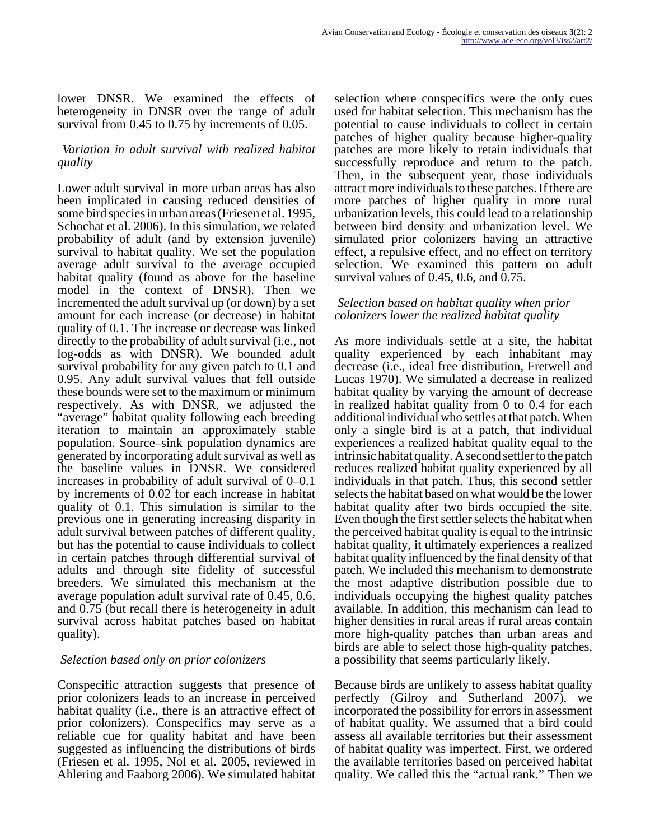lower DNSR. We examined the effects of heterogeneity in DNSR over the range of adult survival from 0.45 to 0.75 by increments of 0.05.

#### *Variation in adult survival with realized habitat quality*

Lower adult survival in more urban areas has also been implicated in causing reduced densities of some bird species in urban areas (Friesen et al. 1995, Schochat et al. 2006). In this simulation, we related probability of adult (and by extension juvenile) survival to habitat quality. We set the population average adult survival to the average occupied habitat quality (found as above for the baseline model in the context of DNSR). Then we incremented the adult survival up (or down) by a set amount for each increase (or decrease) in habitat quality of 0.1. The increase or decrease was linked directly to the probability of adult survival (i.e., not log-odds as with DNSR). We bounded adult survival probability for any given patch to 0.1 and 0.95. Any adult survival values that fell outside these bounds were set to the maximum or minimum respectively. As with DNSR, we adjusted the "average" habitat quality following each breeding iteration to maintain an approximately stable population. Source–sink population dynamics are generated by incorporating adult survival as well as the baseline values in DNSR. We considered increases in probability of adult survival of 0–0.1 by increments of 0.02 for each increase in habitat quality of 0.1. This simulation is similar to the previous one in generating increasing disparity in adult survival between patches of different quality, but has the potential to cause individuals to collect in certain patches through differential survival of adults and through site fidelity of successful breeders. We simulated this mechanism at the average population adult survival rate of 0.45, 0.6, and 0.75 (but recall there is heterogeneity in adult survival across habitat patches based on habitat quality).

### *Selection based only on prior colonizers*

Conspecific attraction suggests that presence of prior colonizers leads to an increase in perceived habitat quality (i.e., there is an attractive effect of prior colonizers). Conspecifics may serve as a reliable cue for quality habitat and have been suggested as influencing the distributions of birds (Friesen et al. 1995, Nol et al. 2005, reviewed in Ahlering and Faaborg 2006). We simulated habitat

selection where conspecifics were the only cues used for habitat selection. This mechanism has the potential to cause individuals to collect in certain patches of higher quality because higher-quality patches are more likely to retain individuals that successfully reproduce and return to the patch. Then, in the subsequent year, those individuals attract more individuals to these patches. If there are more patches of higher quality in more rural urbanization levels, this could lead to a relationship between bird density and urbanization level. We simulated prior colonizers having an attractive effect, a repulsive effect, and no effect on territory selection. We examined this pattern on adult survival values of 0.45, 0.6, and 0.75.

#### *Selection based on habitat quality when prior colonizers lower the realized habitat quality*

As more individuals settle at a site, the habitat quality experienced by each inhabitant may decrease (i.e., ideal free distribution, Fretwell and Lucas 1970). We simulated a decrease in realized habitat quality by varying the amount of decrease in realized habitat quality from 0 to 0.4 for each additional individual who settles at that patch. When only a single bird is at a patch, that individual experiences a realized habitat quality equal to the intrinsic habitat quality. A second settler to the patch reduces realized habitat quality experienced by all individuals in that patch. Thus, this second settler selects the habitat based on what would be the lower habitat quality after two birds occupied the site. Even though the first settler selects the habitat when the perceived habitat quality is equal to the intrinsic habitat quality, it ultimately experiences a realized habitat quality influenced by the final density of that patch. We included this mechanism to demonstrate the most adaptive distribution possible due to individuals occupying the highest quality patches available. In addition, this mechanism can lead to higher densities in rural areas if rural areas contain more high-quality patches than urban areas and birds are able to select those high-quality patches, a possibility that seems particularly likely.

Because birds are unlikely to assess habitat quality perfectly (Gilroy and Sutherland 2007), we incorporated the possibility for errors in assessment of habitat quality. We assumed that a bird could assess all available territories but their assessment of habitat quality was imperfect. First, we ordered the available territories based on perceived habitat quality. We called this the "actual rank." Then we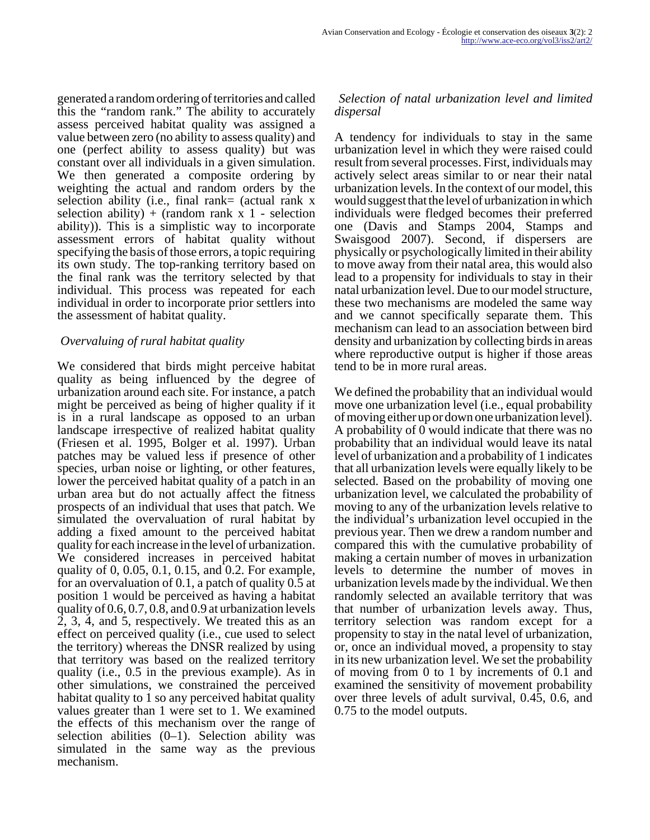generated a random ordering of territories and called this the "random rank." The ability to accurately assess perceived habitat quality was assigned a value between zero (no ability to assess quality) and one (perfect ability to assess quality) but was constant over all individuals in a given simulation. We then generated a composite ordering by weighting the actual and random orders by the selection ability (i.e., final rank= (actual rank x selection ability) + (random rank  $x$  1 - selection ability)). This is a simplistic way to incorporate assessment errors of habitat quality without specifying the basis of those errors, a topic requiring its own study. The top-ranking territory based on the final rank was the territory selected by that individual. This process was repeated for each individual in order to incorporate prior settlers into the assessment of habitat quality.

### *Overvaluing of rural habitat quality*

We considered that birds might perceive habitat quality as being influenced by the degree of urbanization around each site. For instance, a patch might be perceived as being of higher quality if it is in a rural landscape as opposed to an urban landscape irrespective of realized habitat quality (Friesen et al. 1995, Bolger et al. 1997). Urban patches may be valued less if presence of other species, urban noise or lighting, or other features, lower the perceived habitat quality of a patch in an urban area but do not actually affect the fitness prospects of an individual that uses that patch. We simulated the overvaluation of rural habitat by adding a fixed amount to the perceived habitat quality for each increase in the level of urbanization. We considered increases in perceived habitat quality of 0, 0.05, 0.1, 0.15, and 0.2. For example, for an overvaluation of 0.1, a patch of quality 0.5 at position 1 would be perceived as having a habitat quality of 0.6, 0.7, 0.8, and 0.9 at urbanization levels 2, 3, 4, and 5, respectively. We treated this as an effect on perceived quality (i.e., cue used to select the territory) whereas the DNSR realized by using that territory was based on the realized territory quality (i.e., 0.5 in the previous example). As in other simulations, we constrained the perceived habitat quality to 1 so any perceived habitat quality values greater than 1 were set to 1. We examined the effects of this mechanism over the range of selection abilities  $(0-1)$ . Selection ability was simulated in the same way as the previous mechanism.

#### *Selection of natal urbanization level and limited dispersal*

A tendency for individuals to stay in the same urbanization level in which they were raised could result from several processes. First, individuals may actively select areas similar to or near their natal urbanization levels. In the context of our model, this would suggest that the level of urbanization in which individuals were fledged becomes their preferred one (Davis and Stamps 2004, Stamps and Swaisgood 2007). Second, if dispersers are physically or psychologically limited in their ability to move away from their natal area, this would also lead to a propensity for individuals to stay in their natal urbanization level. Due to our model structure, these two mechanisms are modeled the same way and we cannot specifically separate them. This mechanism can lead to an association between bird density and urbanization by collecting birds in areas where reproductive output is higher if those areas tend to be in more rural areas.

We defined the probability that an individual would move one urbanization level (i.e., equal probability of moving either up or down one urbanization level). A probability of 0 would indicate that there was no probability that an individual would leave its natal level of urbanization and a probability of 1 indicates that all urbanization levels were equally likely to be selected. Based on the probability of moving one urbanization level, we calculated the probability of moving to any of the urbanization levels relative to the individual's urbanization level occupied in the previous year. Then we drew a random number and compared this with the cumulative probability of making a certain number of moves in urbanization levels to determine the number of moves in urbanization levels made by the individual. We then randomly selected an available territory that was that number of urbanization levels away. Thus, territory selection was random except for a propensity to stay in the natal level of urbanization, or, once an individual moved, a propensity to stay in its new urbanization level. We set the probability of moving from 0 to 1 by increments of 0.1 and examined the sensitivity of movement probability over three levels of adult survival, 0.45, 0.6, and 0.75 to the model outputs.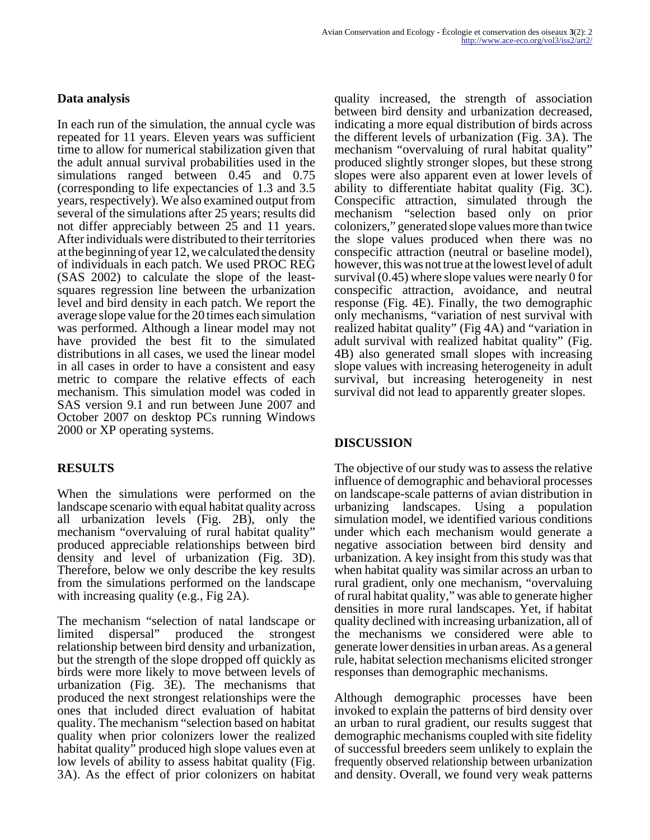## **Data analysis**

In each run of the simulation, the annual cycle was repeated for 11 years. Eleven years was sufficient time to allow for numerical stabilization given that the adult annual survival probabilities used in the simulations ranged between 0.45 and 0.75 (corresponding to life expectancies of 1.3 and 3.5 years, respectively). We also examined output from several of the simulations after 25 years; results did not differ appreciably between 25 and 11 years. After individuals were distributed to their territories at the beginning of year 12, we calculated the density of individuals in each patch. We used PROC REG (SAS 2002) to calculate the slope of the leastsquares regression line between the urbanization level and bird density in each patch. We report the average slope value for the 20 times each simulation was performed. Although a linear model may not have provided the best fit to the simulated distributions in all cases, we used the linear model in all cases in order to have a consistent and easy metric to compare the relative effects of each mechanism. This simulation model was coded in SAS version 9.1 and run between June 2007 and October 2007 on desktop PCs running Windows 2000 or XP operating systems.

# **RESULTS**

When the simulations were performed on the landscape scenario with equal habitat quality across all urbanization levels (Fig. 2B), only the mechanism "overvaluing of rural habitat quality" produced appreciable relationships between bird density and level of urbanization (Fig. 3D). Therefore, below we only describe the key results from the simulations performed on the landscape with increasing quality (e.g., Fig 2A).

The mechanism "selection of natal landscape or limited dispersal" produced the strongest relationship between bird density and urbanization, but the strength of the slope dropped off quickly as birds were more likely to move between levels of urbanization (Fig. 3E). The mechanisms that produced the next strongest relationships were the ones that included direct evaluation of habitat quality. The mechanism "selection based on habitat quality when prior colonizers lower the realized habitat quality" produced high slope values even at low levels of ability to assess habitat quality (Fig. 3A). As the effect of prior colonizers on habitat

quality increased, the strength of association between bird density and urbanization decreased, indicating a more equal distribution of birds across the different levels of urbanization (Fig. 3A). The mechanism "overvaluing of rural habitat quality" produced slightly stronger slopes, but these strong slopes were also apparent even at lower levels of ability to differentiate habitat quality (Fig. 3C). Conspecific attraction, simulated through the mechanism "selection based only on prior colonizers," generated slope values more than twice the slope values produced when there was no conspecific attraction (neutral or baseline model), however, this was not true at the lowest level of adult survival (0.45) where slope values were nearly 0 for conspecific attraction, avoidance, and neutral response (Fig. 4E). Finally, the two demographic only mechanisms, "variation of nest survival with realized habitat quality" (Fig 4A) and "variation in adult survival with realized habitat quality" (Fig. 4B) also generated small slopes with increasing slope values with increasing heterogeneity in adult survival, but increasing heterogeneity in nest survival did not lead to apparently greater slopes.

### **DISCUSSION**

The objective of our study was to assess the relative influence of demographic and behavioral processes on landscape-scale patterns of avian distribution in urbanizing landscapes. Using a population simulation model, we identified various conditions under which each mechanism would generate a negative association between bird density and urbanization. A key insight from this study was that when habitat quality was similar across an urban to rural gradient, only one mechanism, "overvaluing of rural habitat quality," was able to generate higher densities in more rural landscapes. Yet, if habitat quality declined with increasing urbanization, all of the mechanisms we considered were able to generate lower densities in urban areas. As a general rule, habitat selection mechanisms elicited stronger responses than demographic mechanisms.

Although demographic processes have been invoked to explain the patterns of bird density over an urban to rural gradient, our results suggest that demographic mechanisms coupled with site fidelity of successful breeders seem unlikely to explain the frequently observed relationship between urbanization and density. Overall, we found very weak patterns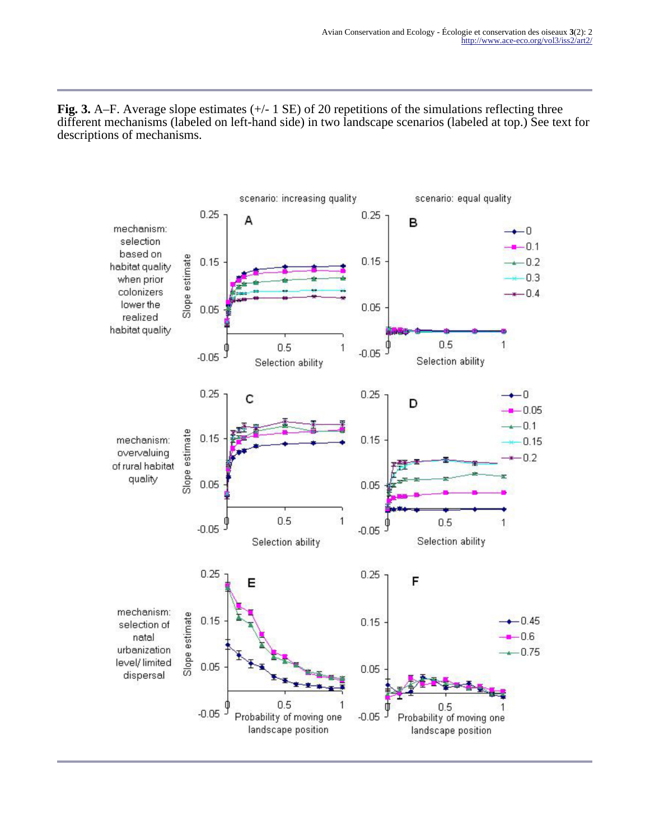Fig. 3. A–F. Average slope estimates (+/- 1 SE) of 20 repetitions of the simulations reflecting three different mechanisms (labeled on left-hand side) in two landscape scenarios (labeled at top.) See text for descriptions of mechanisms.

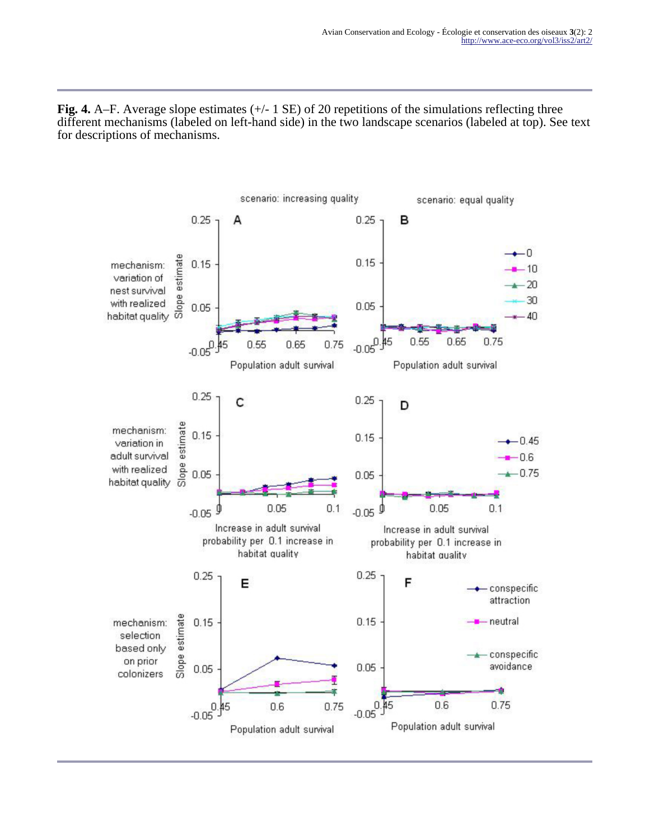Fig. 4. A–F. Average slope estimates (+/- 1 SE) of 20 repetitions of the simulations reflecting three different mechanisms (labeled on left-hand side) in the two landscape scenarios (labeled at top). See text for descriptions of mechanisms.

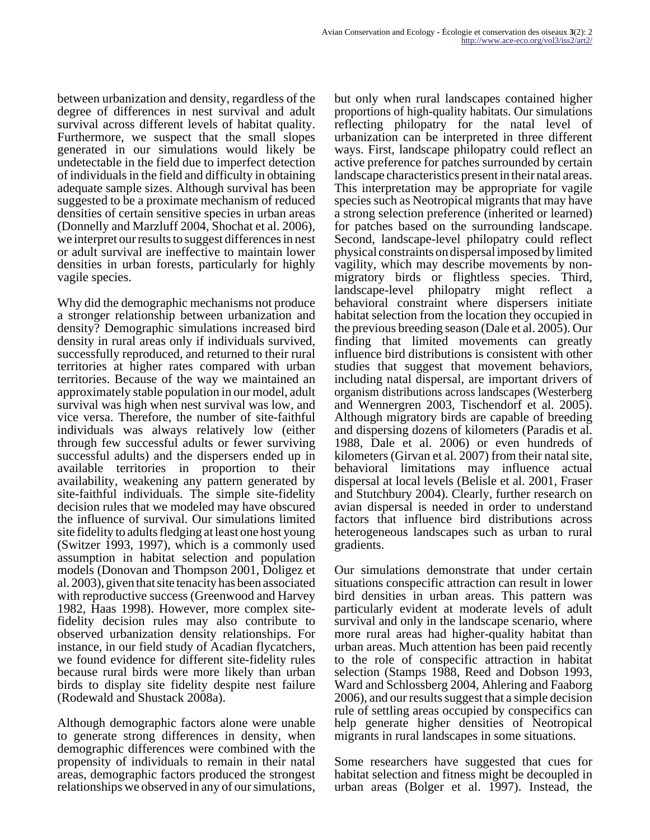between urbanization and density, regardless of the degree of differences in nest survival and adult survival across different levels of habitat quality. Furthermore, we suspect that the small slopes generated in our simulations would likely be undetectable in the field due to imperfect detection of individuals in the field and difficulty in obtaining adequate sample sizes. Although survival has been suggested to be a proximate mechanism of reduced densities of certain sensitive species in urban areas (Donnelly and Marzluff 2004, Shochat et al. 2006), we interpret our results to suggest differences in nest or adult survival are ineffective to maintain lower densities in urban forests, particularly for highly vagile species.

Why did the demographic mechanisms not produce a stronger relationship between urbanization and density? Demographic simulations increased bird density in rural areas only if individuals survived, successfully reproduced, and returned to their rural territories at higher rates compared with urban territories. Because of the way we maintained an approximately stable population in our model, adult survival was high when nest survival was low, and vice versa. Therefore, the number of site-faithful individuals was always relatively low (either through few successful adults or fewer surviving successful adults) and the dispersers ended up in available territories in proportion to their availability, weakening any pattern generated by site-faithful individuals. The simple site-fidelity decision rules that we modeled may have obscured the influence of survival. Our simulations limited site fidelity to adults fledging at least one host young (Switzer 1993, 1997), which is a commonly used assumption in habitat selection and population models (Donovan and Thompson 2001, Doligez et al. 2003), given that site tenacity has been associated with reproductive success (Greenwood and Harvey 1982, Haas 1998). However, more complex sitefidelity decision rules may also contribute to observed urbanization density relationships. For instance, in our field study of Acadian flycatchers, we found evidence for different site-fidelity rules because rural birds were more likely than urban birds to display site fidelity despite nest failure (Rodewald and Shustack 2008a).

Although demographic factors alone were unable to generate strong differences in density, when demographic differences were combined with the propensity of individuals to remain in their natal areas, demographic factors produced the strongest relationships we observed in any of our simulations,

but only when rural landscapes contained higher proportions of high-quality habitats. Our simulations reflecting philopatry for the natal level of urbanization can be interpreted in three different ways. First, landscape philopatry could reflect an active preference for patches surrounded by certain landscape characteristics present in their natal areas. This interpretation may be appropriate for vagile species such as Neotropical migrants that may have a strong selection preference (inherited or learned) for patches based on the surrounding landscape. Second, landscape-level philopatry could reflect physical constraints on dispersal imposed by limited vagility, which may describe movements by nonmigratory birds or flightless species. Third, landscape-level philopatry might reflect a behavioral constraint where dispersers initiate habitat selection from the location they occupied in the previous breeding season (Dale et al. 2005). Our finding that limited movements can greatly influence bird distributions is consistent with other studies that suggest that movement behaviors, including natal dispersal, are important drivers of organism distributions across landscapes (Westerberg and Wennergren 2003, Tischendorf et al. 2005). Although migratory birds are capable of breeding and dispersing dozens of kilometers (Paradis et al. 1988, Dale et al. 2006) or even hundreds of kilometers (Girvan et al. 2007) from their natal site, behavioral limitations may influence actual dispersal at local levels (Belisle et al. 2001, Fraser and Stutchbury 2004). Clearly, further research on avian dispersal is needed in order to understand factors that influence bird distributions across heterogeneous landscapes such as urban to rural gradients.

Our simulations demonstrate that under certain situations conspecific attraction can result in lower bird densities in urban areas. This pattern was particularly evident at moderate levels of adult survival and only in the landscape scenario, where more rural areas had higher-quality habitat than urban areas. Much attention has been paid recently to the role of conspecific attraction in habitat selection (Stamps 1988, Reed and Dobson 1993, Ward and Schlossberg 2004, Ahlering and Faaborg 2006), and our results suggest that a simple decision rule of settling areas occupied by conspecifics can help generate higher densities of Neotropical migrants in rural landscapes in some situations.

Some researchers have suggested that cues for habitat selection and fitness might be decoupled in urban areas (Bolger et al. 1997). Instead, the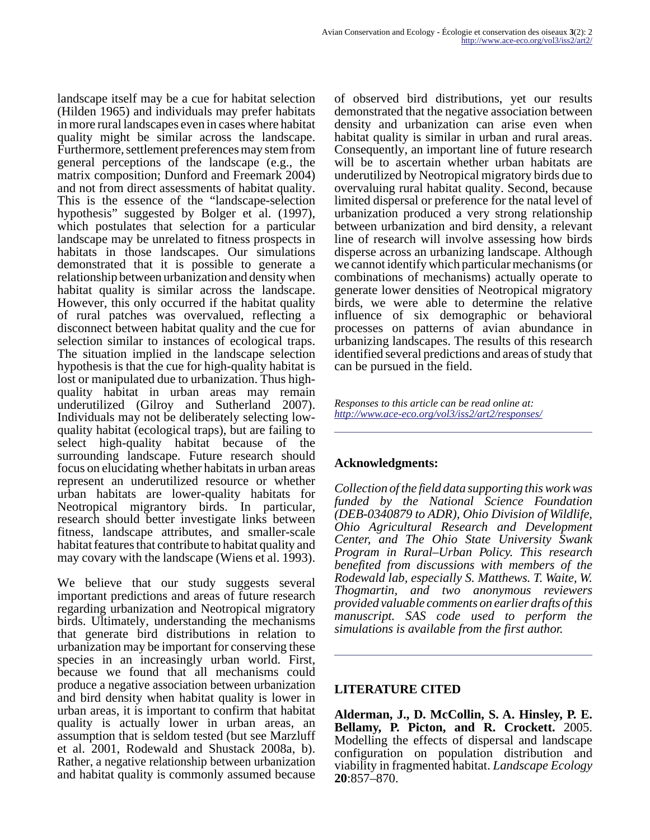landscape itself may be a cue for habitat selection (Hilden 1965) and individuals may prefer habitats in more rural landscapes even in cases where habitat quality might be similar across the landscape. Furthermore, settlement preferences may stem from general perceptions of the landscape (e.g., the matrix composition; Dunford and Freemark 2004) and not from direct assessments of habitat quality. This is the essence of the "landscape-selection hypothesis" suggested by Bolger et al. (1997), which postulates that selection for a particular landscape may be unrelated to fitness prospects in habitats in those landscapes. Our simulations demonstrated that it is possible to generate a relationship between urbanization and density when habitat quality is similar across the landscape. However, this only occurred if the habitat quality of rural patches was overvalued, reflecting a disconnect between habitat quality and the cue for selection similar to instances of ecological traps. The situation implied in the landscape selection hypothesis is that the cue for high-quality habitat is lost or manipulated due to urbanization. Thus highquality habitat in urban areas may remain underutilized (Gilroy and Sutherland 2007). Individuals may not be deliberately selecting lowquality habitat (ecological traps), but are failing to select high-quality habitat because of the surrounding landscape. Future research should focus on elucidating whether habitats in urban areas represent an underutilized resource or whether urban habitats are lower-quality habitats for Neotropical migrantory birds. In particular, research should better investigate links between fitness, landscape attributes, and smaller-scale habitat features that contribute to habitat quality and may covary with the landscape (Wiens et al. 1993).

We believe that our study suggests several important predictions and areas of future research regarding urbanization and Neotropical migratory birds. Ultimately, understanding the mechanisms that generate bird distributions in relation to urbanization may be important for conserving these species in an increasingly urban world. First, because we found that all mechanisms could produce a negative association between urbanization and bird density when habitat quality is lower in urban areas, it is important to confirm that habitat quality is actually lower in urban areas, an assumption that is seldom tested (but see Marzluff et al. 2001, Rodewald and Shustack 2008a, b). Rather, a negative relationship between urbanization and habitat quality is commonly assumed because

of observed bird distributions, yet our results demonstrated that the negative association between density and urbanization can arise even when habitat quality is similar in urban and rural areas. Consequently, an important line of future research will be to ascertain whether urban habitats are underutilized by Neotropical migratory birds due to overvaluing rural habitat quality. Second, because limited dispersal or preference for the natal level of urbanization produced a very strong relationship between urbanization and bird density, a relevant line of research will involve assessing how birds disperse across an urbanizing landscape. Although we cannot identify which particular mechanisms (or combinations of mechanisms) actually operate to generate lower densities of Neotropical migratory birds, we were able to determine the relative influence of six demographic or behavioral processes on patterns of avian abundance in urbanizing landscapes. The results of this research identified several predictions and areas of study that can be pursued in the field.

*Responses to this article can be read online at: <http://www.ace-eco.org/vol3/iss2/art2/responses/>*

### **Acknowledgments:**

*Collection of the field data supporting this work was funded by the National Science Foundation (DEB-0340879 to ADR), Ohio Division of Wildlife, Ohio Agricultural Research and Development Center, and The Ohio State University Swank Program in Rural–Urban Policy. This research benefited from discussions with members of the Rodewald lab, especially S. Matthews. T. Waite, W. Thogmartin, and two anonymous reviewers provided valuable comments on earlier drafts of this manuscript. SAS code used to perform the simulations is available from the first author.* 

### **LITERATURE CITED**

**Alderman, J., D. McCollin, S. A. Hinsley, P. E. Bellamy, P. Picton, and R. Crockett.** 2005. Modelling the effects of dispersal and landscape configuration on population distribution and viability in fragmented habitat. *Landscape Ecology* **20**:857–870.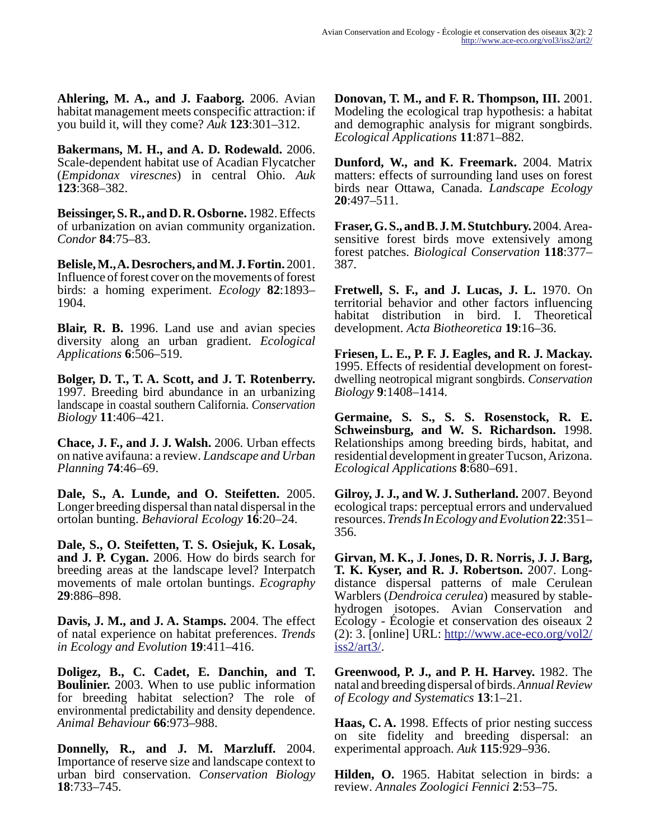**Ahlering, M. A., and J. Faaborg.** 2006. Avian habitat management meets conspecific attraction: if you build it, will they come? *Auk* **123**:301–312.

**Bakermans, M. H., and A. D. Rodewald.** 2006. Scale-dependent habitat use of Acadian Flycatcher (*Empidonax virescnes*) in central Ohio. *Auk* **123**:368–382.

**Beissinger, S. R., and D. R. Osborne.** 1982. Effects of urbanization on avian community organization. *Condor* **84**:75–83.

**Belisle, M., A. Desrochers, and M. J. Fortin.** 2001. Influence of forest cover on the movements of forest birds: a homing experiment. *Ecology* **82**:1893– 1904.

**Blair, R. B.** 1996. Land use and avian species diversity along an urban gradient. *Ecological Applications* **6**:506–519.

**Bolger, D. T., T. A. Scott, and J. T. Rotenberry.** 1997. Breeding bird abundance in an urbanizing landscape in coastal southern California. *Conservation Biology* **11**:406–421.

**Chace, J. F., and J. J. Walsh.** 2006. Urban effects on native avifauna: a review. *Landscape and Urban Planning* **74**:46–69.

**Dale, S., A. Lunde, and O. Steifetten.** 2005. Longer breeding dispersal than natal dispersal in the ortolan bunting. *Behavioral Ecology* **16**:20–24.

**Dale, S., O. Steifetten, T. S. Osiejuk, K. Losak, and J. P. Cygan.** 2006. How do birds search for breeding areas at the landscape level? Interpatch movements of male ortolan buntings. *Ecography* **29**:886–898.

**Davis, J. M., and J. A. Stamps.** 2004. The effect of natal experience on habitat preferences. *Trends in Ecology and Evolution* **19**:411–416.

**Doligez, B., C. Cadet, E. Danchin, and T. Boulinier.** 2003. When to use public information for breeding habitat selection? The role of environmental predictability and density dependence. *Animal Behaviour* **66**:973–988.

**Donnelly, R., and J. M. Marzluff.** 2004. Importance of reserve size and landscape context to urban bird conservation. *Conservation Biology* **18**:733–745.

**Donovan, T. M., and F. R. Thompson, III.** 2001. Modeling the ecological trap hypothesis: a habitat and demographic analysis for migrant songbirds. *Ecological Applications* **11**:871–882.

**Dunford, W., and K. Freemark.** 2004. Matrix matters: effects of surrounding land uses on forest birds near Ottawa, Canada. *Landscape Ecology* **20**:497–511.

**Fraser, G. S., and B. J. M. Stutchbury.** 2004. Areasensitive forest birds move extensively among forest patches. *Biological Conservation* **118**:377– 387.

**Fretwell, S. F., and J. Lucas, J. L.** 1970. On territorial behavior and other factors influencing habitat distribution in bird. I. Theoretical development. *Acta Biotheoretica* **19**:16–36.

**Friesen, L. E., P. F. J. Eagles, and R. J. Mackay.** 1995. Effects of residential development on forestdwelling neotropical migrant songbirds. *Conservation Biology* **9**:1408–1414.

**Germaine, S. S., S. S. Rosenstock, R. E. Schweinsburg, and W. S. Richardson.** 1998. Relationships among breeding birds, habitat, and residential development in greater Tucson, Arizona. *Ecological Applications* **8**:680–691.

**Gilroy, J. J., and W. J. Sutherland.** 2007. Beyond ecological traps: perceptual errors and undervalued resources. *Trends In Ecology and Evolution* **22**:351– 356.

**Girvan, M. K., J. Jones, D. R. Norris, J. J. Barg, T. K. Kyser, and R. J. Robertson.** 2007. Longdistance dispersal patterns of male Cerulean Warblers (*Dendroica cerulea*) measured by stablehydrogen isotopes. Avian Conservation and Ecology - Écologie et conservation des oiseaux 2 (2): 3. [online] URL:  $\frac{http://www.ace-eco.org/vol2/}{http://www.ace-eco.org/vol2/}$  $\frac{http://www.ace-eco.org/vol2/}{http://www.ace-eco.org/vol2/}$  $\frac{http://www.ace-eco.org/vol2/}{http://www.ace-eco.org/vol2/}$ [iss2/art3/](http://www.ace-eco.org/vol2/iss2/art3/).

**Greenwood, P. J., and P. H. Harvey.** 1982. The natal and breeding dispersal of birds. *Annual Review of Ecology and Systematics* **13**:1–21.

**Haas, C. A.** 1998. Effects of prior nesting success on site fidelity and breeding dispersal: an experimental approach. *Auk* **115**:929–936.

**Hilden, O.** 1965. Habitat selection in birds: a review. *Annales Zoologici Fennici* **2**:53–75.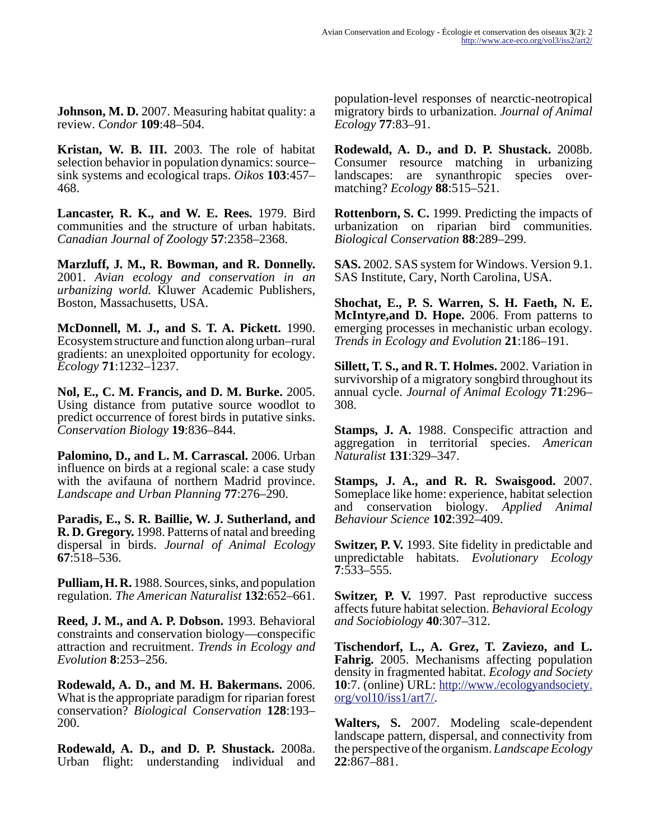**Johnson, M. D.** 2007. Measuring habitat quality: a review. *Condor* **109**:48–504.

**Kristan, W. B. III.** 2003. The role of habitat selection behavior in population dynamics: source– sink systems and ecological traps. *Oikos* **103**:457– 468.

**Lancaster, R. K., and W. E. Rees.** 1979. Bird communities and the structure of urban habitats. *Canadian Journal of Zoology* **57**:2358–2368.

**Marzluff, J. M., R. Bowman, and R. Donnelly.** 2001. *Avian ecology and conservation in an urbanizing world.* Kluwer Academic Publishers, Boston, Massachusetts, USA.

**McDonnell, M. J., and S. T. A. Pickett.** 1990. Ecosystem structure and function along urban–rural gradients: an unexploited opportunity for ecology. *Ecology* **71**:1232–1237.

**Nol, E., C. M. Francis, and D. M. Burke.** 2005. Using distance from putative source woodlot to predict occurrence of forest birds in putative sinks. *Conservation Biology* **19**:836–844.

**Palomino, D., and L. M. Carrascal.** 2006. Urban influence on birds at a regional scale: a case study with the avifauna of northern Madrid province. *Landscape and Urban Planning* **77**:276–290.

**Paradis, E., S. R. Baillie, W. J. Sutherland, and R. D. Gregory.** 1998. Patterns of natal and breeding dispersal in birds. *Journal of Animal Ecology* **67**:518–536.

**Pulliam, H. R.** 1988. Sources, sinks, and population regulation. *The American Naturalist* **132**:652–661.

**Reed, J. M., and A. P. Dobson.** 1993. Behavioral constraints and conservation biology—conspecific attraction and recruitment. *Trends in Ecology and Evolution* **8**:253–256.

**Rodewald, A. D., and M. H. Bakermans.** 2006. What is the appropriate paradigm for riparian forest conservation? *Biological Conservation* **128**:193– 200.

**Rodewald, A. D., and D. P. Shustack.** 2008a. Urban flight: understanding individual and population-level responses of nearctic-neotropical migratory birds to urbanization. *Journal of Animal Ecology* **77**:83–91.

**Rodewald, A. D., and D. P. Shustack.** 2008b. Consumer resource matching in urbanizing landscapes: are synanthropic species overmatching? *Ecology* **88**:515–521.

**Rottenborn, S. C.** 1999. Predicting the impacts of urbanization on riparian bird communities. *Biological Conservation* **88**:289–299.

**SAS.** 2002. SAS system for Windows. Version 9.1. SAS Institute, Cary, North Carolina, USA.

**Shochat, E., P. S. Warren, S. H. Faeth, N. E. McIntyre,and D. Hope.** 2006. From patterns to emerging processes in mechanistic urban ecology. *Trends in Ecology and Evolution* **21**:186–191.

**Sillett, T. S., and R. T. Holmes.** 2002. Variation in survivorship of a migratory songbird throughout its annual cycle. *Journal of Animal Ecology* **71**:296– 308.

**Stamps, J. A.** 1988. Conspecific attraction and aggregation in territorial species. *American Naturalist* **131**:329–347.

**Stamps, J. A., and R. R. Swaisgood.** 2007. Someplace like home: experience, habitat selection and conservation biology. *Applied Animal Behaviour Science* **102**:392–409.

**Switzer, P. V.** 1993. Site fidelity in predictable and unpredictable habitats. *Evolutionary Ecology* **7**:533–555.

**Switzer, P. V.** 1997. Past reproductive success affects future habitat selection. *Behavioral Ecology and Sociobiology* **40**:307–312.

**Tischendorf, L., A. Grez, T. Zaviezo, and L. Fahrig.** 2005. Mechanisms affecting population density in fragmented habitat. *Ecology and Society* **10**:7. (online) URL: [http://www./ecologyandsociety.](http://www.ecologyandsociety.org/vol10/iss1/art7/)  $org/vol10/iss1/art7/$ .

**Walters, S.** 2007. Modeling scale-dependent landscape pattern, dispersal, and connectivity from the perspective of the organism. *Landscape Ecology* **22**:867–881.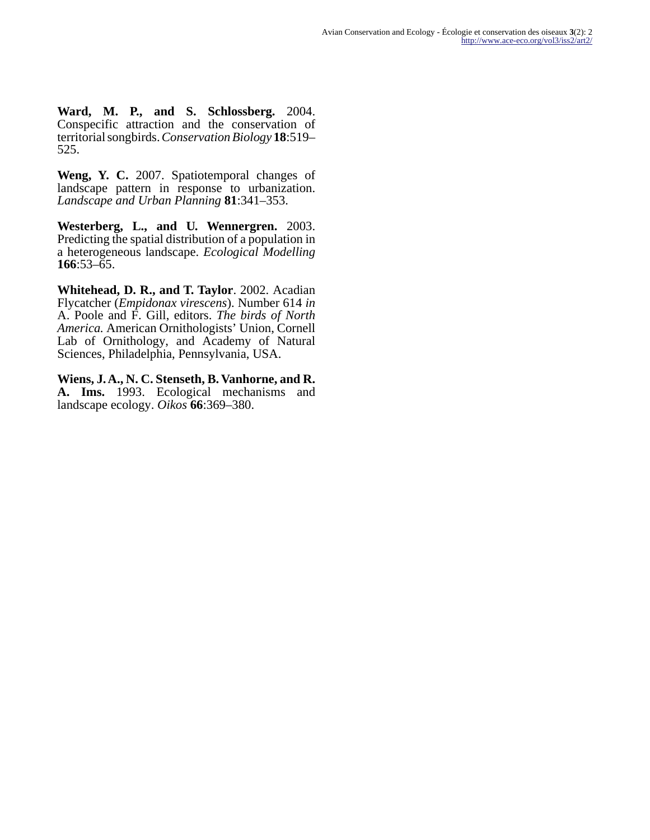**Ward, M. P., and S. Schlossberg.** 2004. Conspecific attraction and the conservation of territorial songbirds. *Conservation Biology* **18**:519– 525.

**Weng, Y. C.** 2007. Spatiotemporal changes of landscape pattern in response to urbanization. *Landscape and Urban Planning* **81**:341–353.

**Westerberg, L., and U. Wennergren.** 2003. Predicting the spatial distribution of a population in a heterogeneous landscape. *Ecological Modelling* **166**:53–65.

**Whitehead, D. R., and T. Taylor**. 2002. Acadian Flycatcher (*Empidonax virescens*). Number 614 *in* A. Poole and F. Gill, editors. *The birds of North America.* American Ornithologists' Union, Cornell Lab of Ornithology, and Academy of Natural Sciences, Philadelphia, Pennsylvania, USA.

**Wiens, J. A., N. C. Stenseth, B. Vanhorne, and R. A. Ims.** 1993. Ecological mechanisms and landscape ecology. *Oikos* **66**:369–380.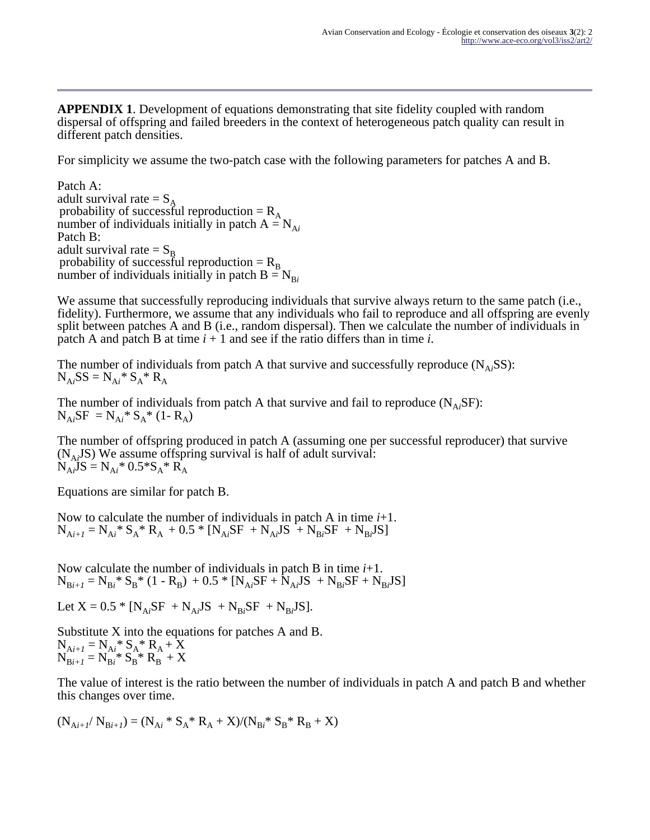**APPENDIX 1**. Development of equations demonstrating that site fidelity coupled with random dispersal of offspring and failed breeders in the context of heterogeneous patch quality can result in different patch densities.

For simplicity we assume the two-patch case with the following parameters for patches A and B.

Patch A: adult survival rate  $=S_A$ probability of successful reproduction =  $R_A$ number of individuals initially in patch  $A = N_{Ai}$ Patch B: adult survival rate  $=S_B$ probability of successful reproduction =  $R_B$ number of individuals initially in patch  $B = N_{B_i}$ 

We assume that successfully reproducing individuals that survive always return to the same patch (i.e., fidelity). Furthermore, we assume that any individuals who fail to reproduce and all offspring are evenly split between patches A and B (i.e., random dispersal). Then we calculate the number of individuals in patch A and patch B at time  $i + 1$  and see if the ratio differs than in time  $i$ .

The number of individuals from patch A that survive and successfully reproduce  $(N_A, SS)$ :  $N_{Ai}SS = N_{Ai} * S_A * R_A$ 

The number of individuals from patch A that survive and fail to reproduce  $(N_A S)$ :  $N_{Ai}SF = N_{Ai} * S_A * (1 - R_A)$ 

The number of offspring produced in patch A (assuming one per successful reproducer) that survive (N<sup>A</sup>*<sup>i</sup>* JS) We assume offspring survival is half of adult survival:  $N_{Ai}$  $\hat{J}S = N_{Ai} * 0.5 * S_A * R_A$ 

Equations are similar for patch B.

Now to calculate the number of individuals in patch A in time *i*+1.  $N_{Ai+1} = N_{Ai} * S_A * R_A + 0.5 * [N_{Ai} S F + N_{Ai} JS + N_{Bi} SF + N_{Bi} JS]$ 

Now calculate the number of individuals in patch B in time *i*+1.  $N_{\text{B}i+1} = N_{\text{B}i}^* S_{\text{B}}^* (1 - R_{\text{B}}) + 0.5^* [\text{N}_{\text{A}i} \text{SF} + \text{N}_{\text{A}i} \text{JS} + \text{N}_{\text{B}i} \text{SF} + \text{N}_{\text{B}i} \text{JS}]$ 

Let  $X = 0.5 * [N_{Ai}SF + N_{Ai}JS + N_{Bi}SF + N_{Bi}JS].$ 

Substitute X into the equations for patches A and B.  $N_{Ai+1} = N_{Ai} * S_A * R_A + X$  $N_{\text{B}i+1} = N_{\text{B}i} + N_{\text{B}i} + N_{\text{B}} + X$ 

The value of interest is the ratio between the number of individuals in patch A and patch B and whether this changes over time.

$$
(N_{Ai+I} / N_{Bi+I}) = (N_{Ai} * S_A * R_A + X) / (N_{Bi} * S_B * R_B + X)
$$